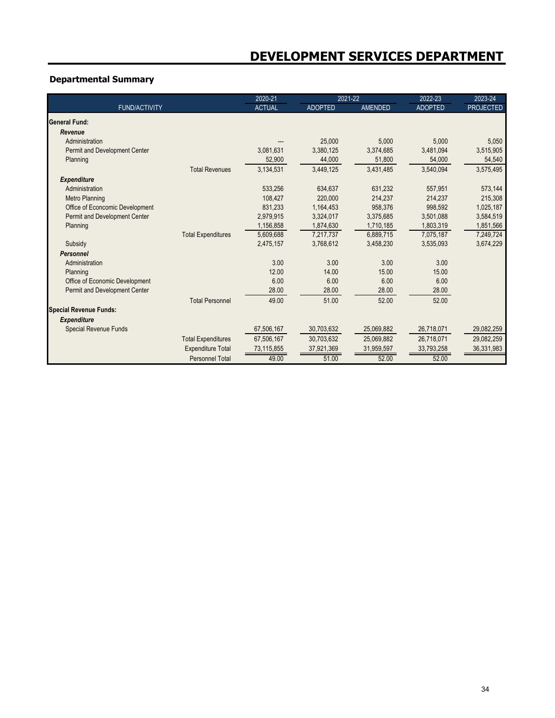# **Departmental Summary**

|                                 |                           | 2020-21       | 2021-22        |                | 2022-23        | 2023-24          |
|---------------------------------|---------------------------|---------------|----------------|----------------|----------------|------------------|
| <b>FUND/ACTIVITY</b>            |                           | <b>ACTUAL</b> | <b>ADOPTED</b> | <b>AMENDED</b> | <b>ADOPTED</b> | <b>PROJECTED</b> |
| <b>General Fund:</b>            |                           |               |                |                |                |                  |
| Revenue                         |                           |               |                |                |                |                  |
| Administration                  |                           |               | 25,000         | 5,000          | 5.000          | 5,050            |
| Permit and Development Center   |                           | 3,081,631     | 3,380,125      | 3,374,685      | 3,481,094      | 3,515,905        |
| Planning                        |                           | 52,900        | 44,000         | 51,800         | 54,000         | 54,540           |
|                                 | <b>Total Revenues</b>     | 3,134,531     | 3,449,125      | 3,431,485      | 3,540,094      | 3,575,495        |
| <b>Expenditure</b>              |                           |               |                |                |                |                  |
| Administration                  |                           | 533,256       | 634,637        | 631,232        | 557,951        | 573,144          |
| <b>Metro Planning</b>           |                           | 108,427       | 220,000        | 214,237        | 214,237        | 215,308          |
| Office of Econcomic Development |                           | 831,233       | 1,164,453      | 958,376        | 998,592        | 1,025,187        |
| Permit and Development Center   |                           | 2,979,915     | 3,324,017      | 3.375.685      | 3,501,088      | 3,584,519        |
| Planning                        |                           | 1,156,858     | 1,874,630      | 1,710,185      | 1,803,319      | 1,851,566        |
|                                 | <b>Total Expenditures</b> | 5,609,688     | 7,217,737      | 6,889,715      | 7,075,187      | 7,249,724        |
| Subsidy                         |                           | 2,475,157     | 3,768,612      | 3,458,230      | 3,535,093      | 3,674,229        |
| Personnel                       |                           |               |                |                |                |                  |
| Administration                  |                           | 3.00          | 3.00           | 3.00           | 3.00           |                  |
| Planning                        |                           | 12.00         | 14.00          | 15.00          | 15.00          |                  |
| Office of Economic Development  |                           | 6.00          | 6.00           | 6.00           | 6.00           |                  |
| Permit and Development Center   |                           | 28.00         | 28.00          | 28.00          | 28.00          |                  |
|                                 | <b>Total Personnel</b>    | 49.00         | 51.00          | 52.00          | 52.00          |                  |
| <b>Special Revenue Funds:</b>   |                           |               |                |                |                |                  |
| <b>Expenditure</b>              |                           |               |                |                |                |                  |
| <b>Special Revenue Funds</b>    |                           | 67.506.167    | 30.703.632     | 25.069.882     | 26.718.071     | 29.082.259       |
|                                 | <b>Total Expenditures</b> | 67,506,167    | 30,703,632     | 25,069,882     | 26,718,071     | 29,082,259       |
|                                 | <b>Expenditure Total</b>  | 73,115,855    | 37,921,369     | 31,959,597     | 33,793,258     | 36,331,983       |
|                                 | <b>Personnel Total</b>    | 49.00         | 51.00          | 52.00          | 52.00          |                  |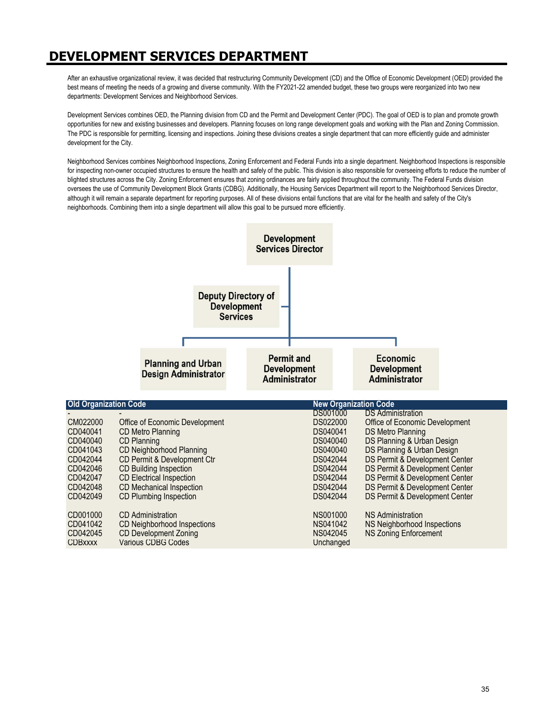# **DEVELOPMENT SERVICES DEPARTMENT**

After an exhaustive organizational review, it was decided that restructuring Community Development (CD) and the Office of Economic Development (OED) provided the best means of meeting the needs of a growing and diverse community. With the FY2021-22 amended budget, these two groups were reorganized into two new departments: Development Services and Neighborhood Services.

Development Services combines OED, the Planning division from CD and the Permit and Development Center (PDC). The goal of OED is to plan and promote growth opportunities for new and existing businesses and developers. Planning focuses on long range development goals and working with the Plan and Zoning Commission. The PDC is responsible for permitting, licensing and inspections. Joining these divisions creates a single department that can more efficiently guide and administer development for the City.

Neighborhood Services combines Neighborhood Inspections, Zoning Enforcement and Federal Funds into a single department. Neighborhood Inspections is responsible for inspecting non-owner occupied structures to ensure the health and safely of the public. This division is also responsible for overseeing efforts to reduce the number of blighted structures across the City. Zoning Enforcement ensures that zoning ordinances are fairly applied throughout the community. The Federal Funds division oversees the use of Community Development Block Grants (CDBG). Additionally, the Housing Services Department will report to the Neighborhood Services Director, although it will remain a separate department for reporting purposes. All of these divisions entail functions that are vital for the health and safety of the City's neighborhoods. Combining them into a single department will allow this goal to be pursued more efficiently.

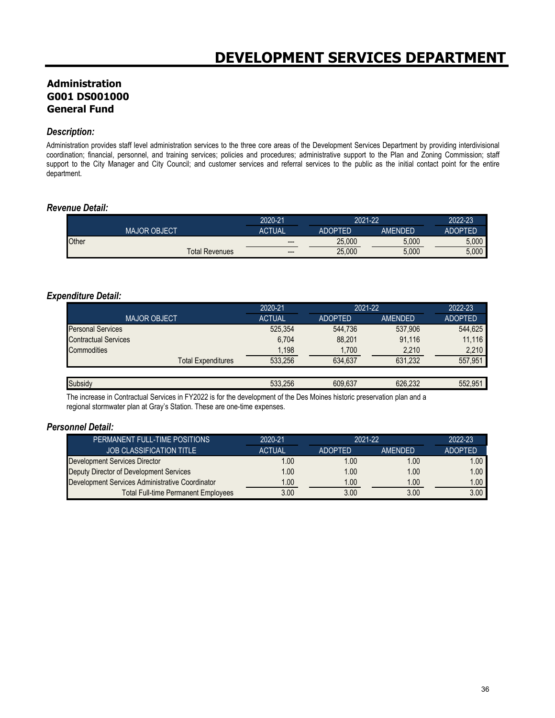# **Administration G001 DS001000 General Fund**

#### *Description:*

Administration provides staff level administration services to the three core areas of the Development Services Department by providing interdivisional coordination; financial, personnel, and training services; policies and procedures; administrative support to the Plan and Zoning Commission; staff support to the City Manager and City Council; and customer services and referral services to the public as the initial contact point for the entire department.

#### *Revenue Detail:*

|                       | 2020-21       | 2021-22        |         | 2022-23        |
|-----------------------|---------------|----------------|---------|----------------|
| <b>MAJOR OBJECT</b>   | <b>ACTUAL</b> | <b>ADOPTED</b> | AMENDED | <b>ADOPTED</b> |
| Other                 | $- - -$       | 25.000         | 5.000   | 5.000          |
| <b>Total Revenues</b> | $---$         | 25,000         | 5,000   | 5,000          |

#### *Expenditure Detail:*

|                             | 2020-21       | 2021-22        |                | 2022-23        |  |
|-----------------------------|---------------|----------------|----------------|----------------|--|
| <b>MAJOR OBJECT</b>         | <b>ACTUAL</b> | <b>ADOPTED</b> | <b>AMENDED</b> | <b>ADOPTED</b> |  |
| <b>Personal Services</b>    | 525.354       | 544.736        | 537.906        | 544.625        |  |
| <b>Contractual Services</b> | 6,704         | 88,201         | 91,116         | 11,116         |  |
| Commodities                 | 1,198         | 1,700          | 2,210          | 2,210          |  |
| <b>Total Expenditures</b>   | 533.256       | 634.637        | 631,232        | 557,951        |  |
|                             |               |                |                |                |  |
| Subsidy                     | 533.256       | 609.637        | 626.232        | 552.951        |  |

The increase in Contractual Services in FY2022 is for the development of the Des Moines historic preservation plan and a regional stormwater plan at Gray's Station. These are one-time expenses.

#### *Personnel Detail:*

| PERMANENT FULL-TIME POSITIONS                   | 2020-21       | $2021 - 22$    |                | 2022-23           |
|-------------------------------------------------|---------------|----------------|----------------|-------------------|
| <b>JOB CLASSIFICATION TITLE</b>                 | <b>ACTUAL</b> | <b>ADOPTED</b> | <b>AMENDED</b> | <b>ADOPTED</b>    |
| Development Services Director                   | .00           | 1.00           | 1.00           | 00.1              |
| Deputy Director of Development Services         | .00           | 1.00           | 1.00           | 1.00              |
| Development Services Administrative Coordinator | 1.00          | 1.00           | 1.00           | 1.00 <sub>1</sub> |
| <b>Total Full-time Permanent Employees</b>      | 3.00          | 3.00           | 3.00           | 3.00              |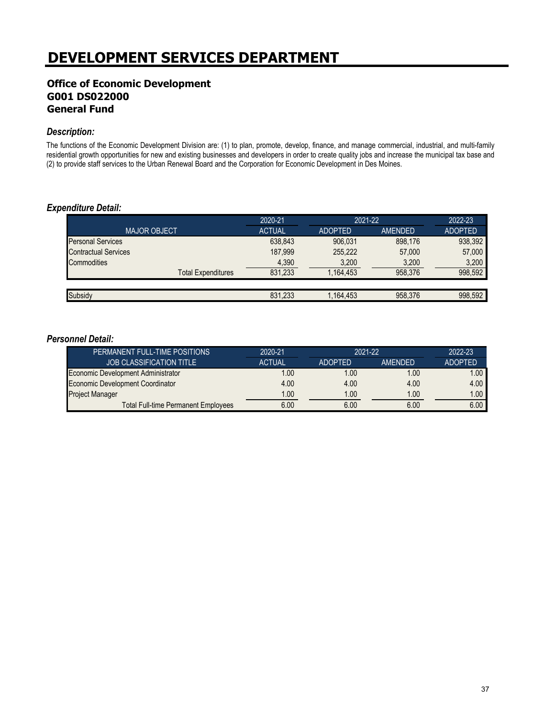# **DEVELOPMENT SERVICES DEPARTMENT**

# **Office of Economic Development G001 DS022000 General Fund**

#### *Description:*

The functions of the Economic Development Division are: (1) to plan, promote, develop, finance, and manage commercial, industrial, and multi-family residential growth opportunities for new and existing businesses and developers in order to create quality jobs and increase the municipal tax base and (2) to provide staff services to the Urban Renewal Board and the Corporation for Economic Development in Des Moines.

#### *Expenditure Detail:*

|                             | 2020-21       | 2021-22        |         | 2022-23        |
|-----------------------------|---------------|----------------|---------|----------------|
| <b>MAJOR OBJECT</b>         | <b>ACTUAL</b> | <b>ADOPTED</b> | AMENDED | <b>ADOPTED</b> |
| <b>Personal Services</b>    | 638,843       | 906.031        | 898.176 | 938,392        |
| <b>Contractual Services</b> | 187.999       | 255.222        | 57,000  | 57,000         |
| Commodities                 | 4,390         | 3,200          | 3,200   | 3,200          |
| <b>Total Expenditures</b>   | 831,233       | 1,164,453      | 958.376 | 998,592        |
|                             |               |                |         |                |
| Subsidy                     | 831,233       | 1,164,453      | 958,376 | 998.592        |

#### *Personnel Detail:*

| PERMANENT FULL-TIME POSITIONS              | 2020-21       | 2021-22        |                | 2022-23           |
|--------------------------------------------|---------------|----------------|----------------|-------------------|
| <b>JOB CLASSIFICATION TITLE</b>            | <b>ACTUAL</b> | <b>ADOPTED</b> | <b>AMENDED</b> | <b>ADOPTED</b>    |
| Economic Development Administrator         | .00           | 1.00           | 1.00           | 1.00              |
| Economic Development Coordinator           | 4.00          | 4.00           | 4.00           | 4.00              |
| Project Manager                            | 1.00          | 1.00           | 1.00           | 1.00 <sub>1</sub> |
| <b>Total Full-time Permanent Employees</b> | 6.00          | 6.00           | 6.00           | 6.00              |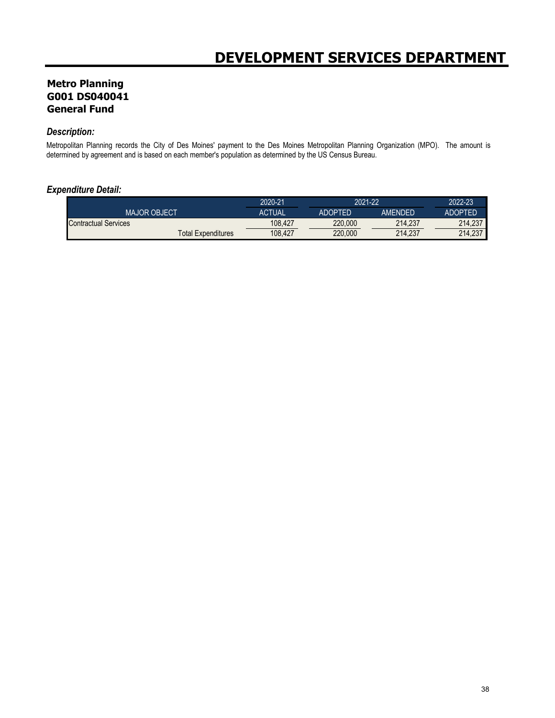# **Metro Planning G001 DS040041 General Fund**

## *Description:*

Metropolitan Planning records the City of Des Moines' payment to the Des Moines Metropolitan Planning Organization (MPO). The amount is determined by agreement and is based on each member's population as determined by the US Census Bureau.

#### *Expenditure Detail:*

|                           | 2020-21       | 2021-22 |         | 2022-23 |
|---------------------------|---------------|---------|---------|---------|
| <b>MAJOR OBJECT</b>       | <b>ACTUAL</b> | ADOPTED | AMFNDFD | ADOPTFD |
| Contractual Services      | 108.427       | 220,000 | 214.237 | 214.237 |
| <b>Total Expenditures</b> | 108.427       | 220,000 | 214.237 | 214.237 |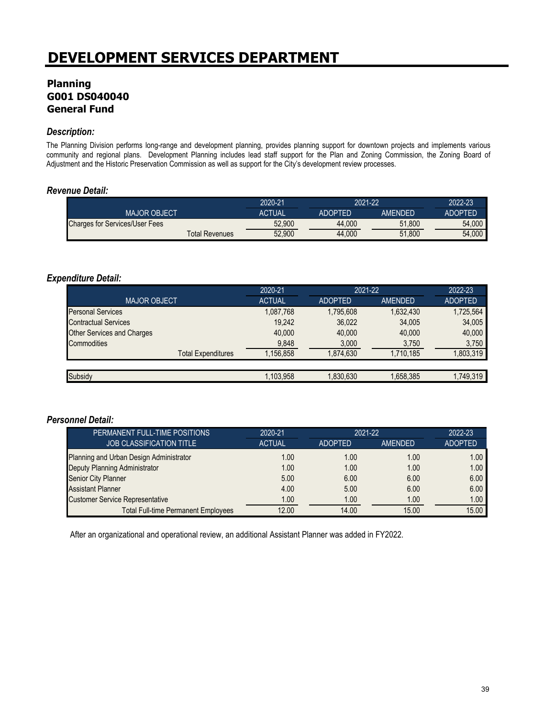# **Planning G001 DS040040 General Fund**

#### *Description:*

The Planning Division performs long-range and development planning, provides planning support for downtown projects and implements various community and regional plans. Development Planning includes lead staff support for the Plan and Zoning Commission, the Zoning Board of Adjustment and the Historic Preservation Commission as well as support for the City's development review processes.

#### *Revenue Detail:*

|                                       |                | 2020-21       | 2021-22        |         | 2022-23        |
|---------------------------------------|----------------|---------------|----------------|---------|----------------|
| <b>MAJOR OBJECT</b>                   |                | <b>ACTUAL</b> | <b>ADOPTED</b> | AMFNDFD | <b>ADOPTED</b> |
| <b>Charges for Services/User Fees</b> |                | 52,900        | 44.000         | 51.800  | 54,000         |
|                                       | Total Revenues | 52.900        | 44.000         | 51.800  | 54,000         |

### *Expenditure Detail:*

|                                   | 2020-21       | 2021-22        |           | 2022-23        |
|-----------------------------------|---------------|----------------|-----------|----------------|
| <b>MAJOR OBJECT</b>               | <b>ACTUAL</b> | <b>ADOPTED</b> | AMENDED   | <b>ADOPTED</b> |
| <b>Personal Services</b>          | 1,087,768     | 1.795.608      | 1,632,430 | 1,725,564      |
| <b>Contractual Services</b>       | 19.242        | 36,022         | 34,005    | 34,005         |
| <b>Other Services and Charges</b> | 40,000        | 40.000         | 40,000    | 40,000         |
| Commodities                       | 9,848         | 3,000          | 3,750     | 3.750          |
| <b>Total Expenditures</b>         | 1,156,858     | 1.874.630      | 1,710,185 | ,803,319       |
|                                   |               |                |           |                |
| Subsidy                           | 1,103,958     | 1,830,630      | 1,658,385 | 1,749,319      |

#### *Personnel Detail:*

| PERMANENT FULL-TIME POSITIONS              | 2020-21       | $2021 - 22$    |         | 2022-23        |
|--------------------------------------------|---------------|----------------|---------|----------------|
| <b>JOB CLASSIFICATION TITLE</b>            | <b>ACTUAL</b> | <b>ADOPTED</b> | AMENDED | <b>ADOPTED</b> |
| Planning and Urban Design Administrator    | 1.00          | 1.00           | 1.00    | 1.00           |
| Deputy Planning Administrator              | 1.00          | 1.00           | 1.00    | 1.00           |
| Senior City Planner                        | 5.00          | 6.00           | 6.00    | 6.00           |
| <b>Assistant Planner</b>                   | 4.00          | 5.00           | 6.00    | 6.00           |
| <b>Customer Service Representative</b>     | 1.00          | 1.00           | 1.00    | 1.00           |
| <b>Total Full-time Permanent Employees</b> | 12.00         | 14.00          | 15.00   | 15.00          |

After an organizational and operational review, an additional Assistant Planner was added in FY2022.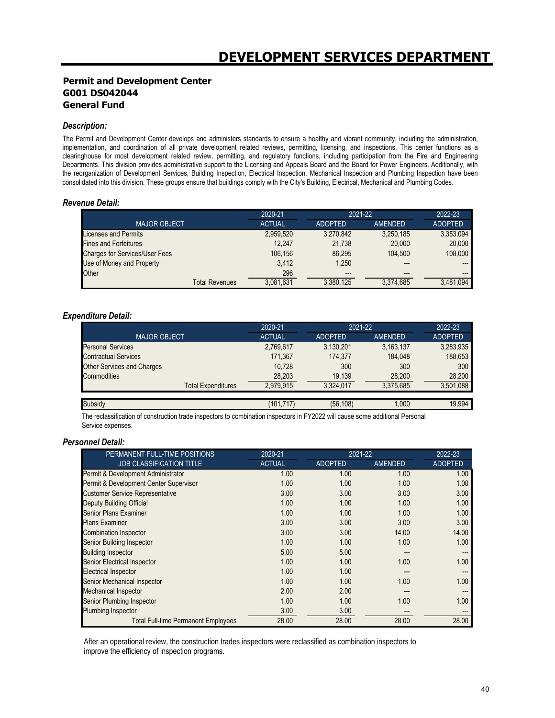#### **Permit and Development Center G001 DS042044 General Fund**

#### *Description:*

The Permit and Development Center develops and administers standards to ensure a healthy and vibrant community, including the administration, implementation, and coordination of all private development related reviews, permitting, licensing, and inspections. This center functions as a clearinghouse for most development related review, permitting, and regulatory functions, including participation from the Fire and Engineering Departments. This division provides administrative support to the Licensing and Appeals Board and the Board for Power Engineers. Additionally, with the reorganization of Development Services, Building Inspection, Electrical Inspection, Mechanical Inspection and Plumbing Inspection have been consolidated into this division. These groups ensure that buildings comply with the City's Building, Electrical, Mechanical and Plumbing Codes.

#### *Revenue Detail:*

|                                | 2020-21       | 2021-22        |                | 2022-23        |
|--------------------------------|---------------|----------------|----------------|----------------|
| <b>MAJOR OBJECT</b>            | <b>ACTUAL</b> | <b>ADOPTED</b> | <b>AMENDED</b> | <b>ADOPTED</b> |
| Licenses and Permits           | 2,959,520     | 3,270,842      | 3,250,185      | 3,353,094      |
| <b>Fines and Forfeitures</b>   | 12.247        | 21.738         | 20,000         | 20,000         |
| Charges for Services/User Fees | 106.156       | 86.295         | 104.500        | 108,000        |
| Use of Money and Property      | 3.412         | 1.250          | ---            | $---$          |
| Other                          | 296           | $- - -$        | $- - -$        | $---$          |
| <b>Total Revenues</b>          | 3.081.631     | 3,380,125      | 3.374.685      | 3.481.094      |

#### *Expenditure Detail:*

|                                   | 2020-21       | 2021-22        |           | 2022-23        |
|-----------------------------------|---------------|----------------|-----------|----------------|
| <b>MAJOR OBJECT</b>               | <b>ACTUAL</b> | <b>ADOPTED</b> | AMENDED   | <b>ADOPTED</b> |
| <b>Personal Services</b>          | 2,769,617     | 3,130,201      | 3,163,137 | 3,283,935      |
| <b>Contractual Services</b>       | 171,367       | 174,377        | 184.048   | 188,653        |
| <b>Other Services and Charges</b> | 10.728        | 300            | 300       | 300            |
| <b>Commodities</b>                | 28,203        | 19,139         | 28,200    | 28.200         |
| <b>Total Expenditures</b>         | 2.979.915     | 3.324.017      | 3.375.685 | 3,501,088      |
|                                   |               |                |           |                |
| Subsidy                           | (101, 717)    | (56, 108)      | 1.000     | 19,994         |

The reclassification of construction trade inspectors to combination inspectors in FY2022 will cause some additional Personal Service expenses.

#### *Personnel Detail:*

| PERMANENT FULL-TIME POSITIONS              | 2020-21       |                | 2021-22        |                |  |
|--------------------------------------------|---------------|----------------|----------------|----------------|--|
| <b>JOB CLASSIFICATION TITLE</b>            | <b>ACTUAL</b> | <b>ADOPTED</b> | <b>AMENDED</b> | <b>ADOPTED</b> |  |
| Permit & Development Administrator         | 1.00          | 1.00           | 1.00           | 1.00           |  |
| Permit & Development Center Supervisor     | 1.00          | 1.00           | 1.00           | 1.00           |  |
| <b>Customer Service Representative</b>     | 3.00          | 3.00           | 3.00           | 3.00           |  |
| <b>Deputy Building Official</b>            | 1.00          | 1.00           | 1.00           | 1.00           |  |
| <b>Senior Plans Examiner</b>               | 1.00          | 1.00           | 1.00           | 1.00           |  |
| <b>Plans Examiner</b>                      | 3.00          | 3.00           | 3.00           | 3.00           |  |
| <b>Combination Inspector</b>               | 3.00          | 3.00           | 14.00          | 14.00          |  |
| Senior Building Inspector                  | 1.00          | 1.00           | 1.00           | 1.00           |  |
| <b>Building Inspector</b>                  | 5.00          | 5.00           |                |                |  |
| <b>Senior Electrical Inspector</b>         | 1.00          | 1.00           | 1.00           | 1.00           |  |
| <b>Electrical Inspector</b>                | 1.00          | 1.00           | ---            | ---            |  |
| Senior Mechanical Inspector                | 1.00          | 1.00           | 1.00           | 1.00           |  |
| <b>Mechanical Inspector</b>                | 2.00          | 2.00           | ---            | ---            |  |
| Senior Plumbing Inspector                  | 1.00          | 1.00           | 1.00           | 1.00           |  |
| <b>Plumbing Inspector</b>                  | 3.00          | 3.00           |                |                |  |
| <b>Total Full-time Permanent Employees</b> | 28.00         | 28.00          | 28.00          | 28.00          |  |

After an operational review, the construction trades inspectors were reclassified as combination inspectors to improve the efficiency of inspection programs.